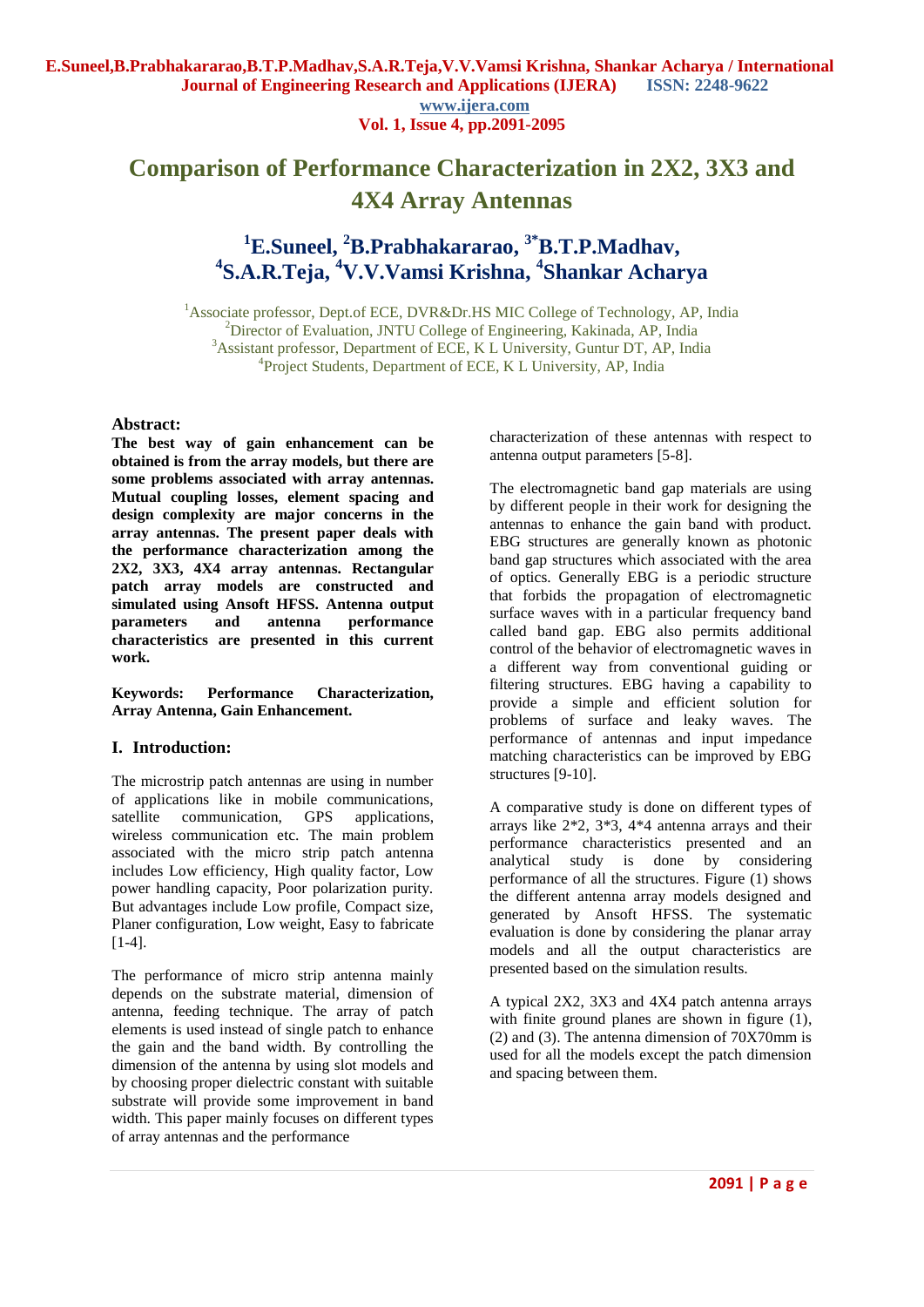**Vol. 1, Issue 4, pp.2091-2095**

# **Comparison of Performance Characterization in 2X2, 3X3 and 4X4 Array Antennas**

# **<sup>1</sup>E.Suneel, <sup>2</sup>B.Prabhakararao, 3\*B.T.P.Madhav, 4 S.A.R.Teja, <sup>4</sup>V.V.Vamsi Krishna, <sup>4</sup> Shankar Acharya**

<sup>1</sup>Associate professor, Dept.of ECE, DVR&Dr.HS MIC College of Technology, AP, India <sup>2</sup>Director of Evaluation, JNTU College of Engineering, Kakinada, AP, India <sup>3</sup>Assistant professor, Department of ECE, K L University, Guntur DT, AP, India <sup>4</sup>Project Students, Department of ECE, K L University, AP, India

## **Abstract:**

**The best way of gain enhancement can be obtained is from the array models, but there are some problems associated with array antennas. Mutual coupling losses, element spacing and design complexity are major concerns in the array antennas. The present paper deals with the performance characterization among the 2X2, 3X3, 4X4 array antennas. Rectangular patch array models are constructed and simulated using Ansoft HFSS. Antenna output parameters and antenna performance characteristics are presented in this current work.**

**Keywords: Performance Characterization, Array Antenna, Gain Enhancement.**

# **I. Introduction:**

The microstrip patch antennas are using in number of applications like in mobile communications, satellite communication, GPS applications, wireless communication etc. The main problem associated with the micro strip patch antenna includes Low efficiency, High quality factor, Low power handling capacity, Poor polarization purity. But advantages include Low profile, Compact size, Planer configuration, Low weight, Easy to fabricate [1-4].

The performance of micro strip antenna mainly depends on the substrate material, dimension of antenna, feeding technique. The array of patch elements is used instead of single patch to enhance the gain and the band width. By controlling the dimension of the antenna by using slot models and by choosing proper dielectric constant with suitable substrate will provide some improvement in band width. This paper mainly focuses on different types of array antennas and the performance

characterization of these antennas with respect to antenna output parameters [5-8].

The electromagnetic band gap materials are using by different people in their work for designing the antennas to enhance the gain band with product. EBG structures are generally known as photonic band gap structures which associated with the area of optics. Generally EBG is a periodic structure that forbids the propagation of electromagnetic surface waves with in a particular frequency band called band gap. EBG also permits additional control of the behavior of electromagnetic waves in a different way from conventional guiding or filtering structures. EBG having a capability to provide a simple and efficient solution for problems of surface and leaky waves. The performance of antennas and input impedance matching characteristics can be improved by EBG structures [9-10].

A comparative study is done on different types of arrays like  $2*2$ ,  $3*3$ ,  $4*4$  antenna arrays and their performance characteristics presented and an analytical study is done by considering performance of all the structures. Figure (1) shows the different antenna array models designed and generated by Ansoft HFSS. The systematic evaluation is done by considering the planar array models and all the output characteristics are presented based on the simulation results.

A typical 2X2, 3X3 and 4X4 patch antenna arrays with finite ground planes are shown in figure  $(1)$ , (2) and (3). The antenna dimension of 70X70mm is used for all the models except the patch dimension and spacing between them.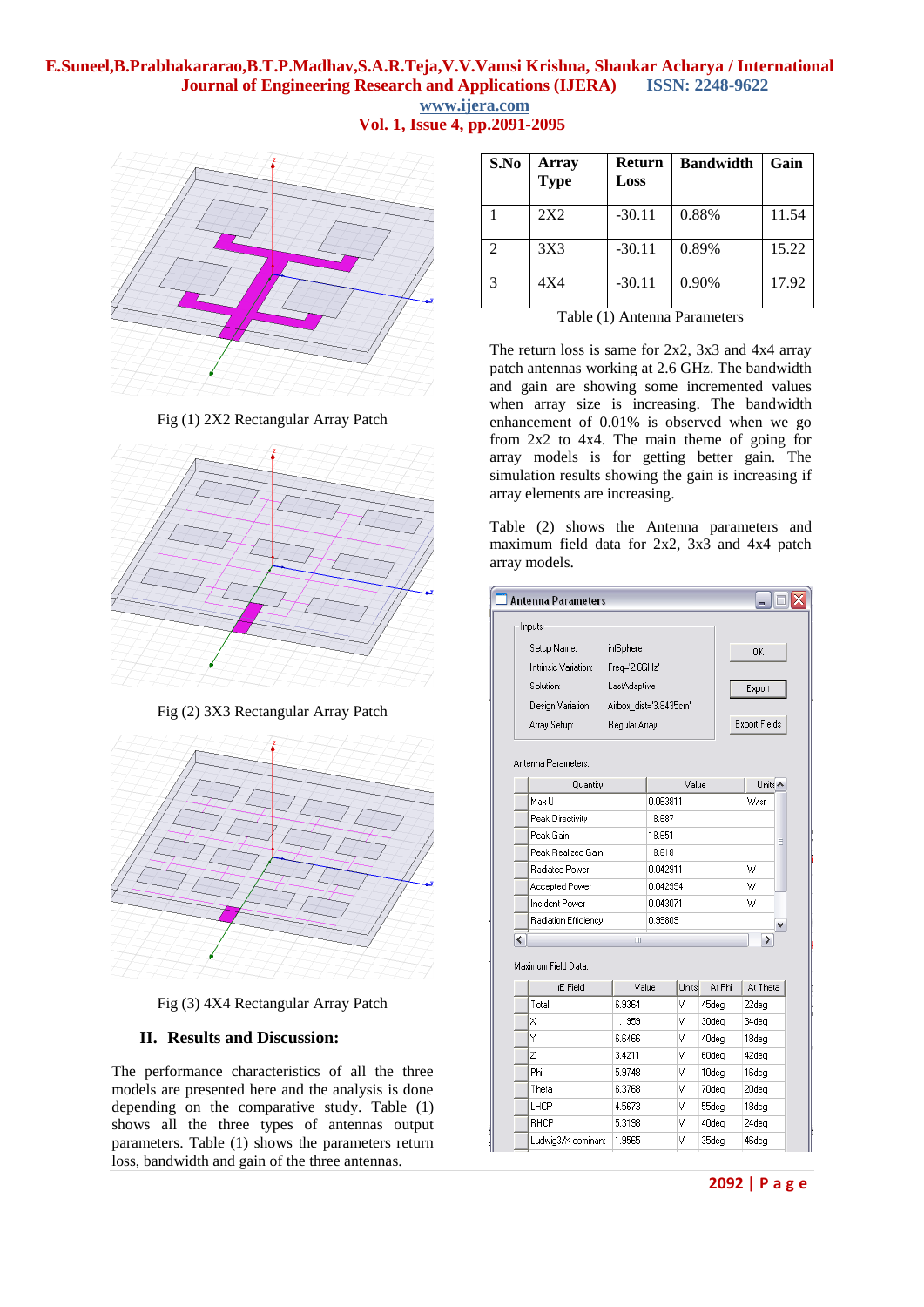# **E.Suneel,B.Prabhakararao,B.T.P.Madhav,S.A.R.Teja,V.V.Vamsi Krishna, Shankar Acharya / International Journal of Engineering Research and Applications (IJERA) ISSN: 2248-9622 www.ijera.com Vol. 1, Issue 4, pp.2091-2095**



**S.No Array Type Return Loss Bandwidth Gain** 1 2X2 -30.11 0.88% 11.54 2 3X3 -30.11 0.89% 15.22 3 4X4 -30.11 0.90% 17.92

Table (1) Antenna Parameters

The return loss is same for 2x2, 3x3 and 4x4 array patch antennas working at 2.6 GHz. The bandwidth and gain are showing some incremented values when array size is increasing. The bandwidth enhancement of 0.01% is observed when we go from 2x2 to 4x4. The main theme of going for array models is for getting better gain. The simulation results showing the gain is increasing if array elements are increasing.

Table (2) shows the Antenna parameters and maximum field data for 2x2, 3x3 and 4x4 patch array models.

| <b>Antenna Parameters</b> |                 |                        |            |                   |                    |               |  |  |
|---------------------------|-----------------|------------------------|------------|-------------------|--------------------|---------------|--|--|
| Inputs                    |                 |                        |            |                   |                    |               |  |  |
| Setup Name:               | infSphere       |                        |            | OΚ                |                    |               |  |  |
| Intrinsic Variation:      | Freg='2.6GHz'   |                        |            |                   |                    |               |  |  |
| Solution:                 | LastAdaptive    |                        |            |                   | Export             |               |  |  |
| Design Variation:         |                 | Airbox dist='3.8435cm' |            |                   |                    |               |  |  |
|                           |                 |                        |            |                   |                    |               |  |  |
| Array Setup:              | Regular Array   |                        |            |                   |                    | Export Fields |  |  |
| Antenna Parameters:       |                 |                        |            |                   |                    |               |  |  |
|                           |                 |                        |            |                   | Units <sup>4</sup> |               |  |  |
| Quantity<br>Max II        |                 | Value<br>0.063811      |            |                   | W/sr               |               |  |  |
| Peak Directivity          |                 |                        |            | 18.687            |                    |               |  |  |
| Peak Gain                 |                 |                        |            | 18.651            |                    |               |  |  |
| Peak Realized Gain        |                 |                        |            | 18.618            |                    |               |  |  |
| Radiated Power            |                 |                        |            | 0.042911          |                    |               |  |  |
| Accepted Power            |                 |                        |            | 0.042994          |                    |               |  |  |
| Incident Power            |                 |                        |            | 0.043071          |                    |               |  |  |
| Radiation Efficiency      |                 |                        |            | 0.99809           |                    |               |  |  |
| $\overline{\phantom{0}}$  | Ш               |                        |            |                   | ≯                  | v             |  |  |
| Maximum Field Data:       |                 |                        |            |                   |                    |               |  |  |
| rE Field                  | Value<br>6.9364 |                        | Units      | At Phi            | At Theta           |               |  |  |
| Total<br>X                | 1.1959          |                        | ٧<br>45deg |                   | 22deg              |               |  |  |
| Ÿ                         | 6.6466          |                        | ٧<br>٧     | 30deg<br>40deg    | 34deg              |               |  |  |
| Z                         | 3.4211          |                        | ٧          | 60deg             | 18deg<br>42deg     |               |  |  |
| Phi                       | 5.9748          |                        | ٧          | 10 <sub>deq</sub> | 16deg              |               |  |  |
| Theta                     | 6.3768          |                        | ٧          | 70deg             | 20deg              |               |  |  |
| LHCP                      | 4.5673          |                        | ٧          | 55deg             | 18deg              |               |  |  |
| RHCP                      | 5.3198          |                        | ٧          | 40deg             | 24deg              |               |  |  |
| Ludwig3/X dominant        | 1.9565          |                        | ٧          | 35deg             | 46deg              |               |  |  |

# Fig (1) 2X2 Rectangular Array Patch



Fig (2) 3X3 Rectangular Array Patch



Fig (3) 4X4 Rectangular Array Patch

# **II. Results and Discussion:**

The performance characteristics of all the three models are presented here and the analysis is done depending on the comparative study. Table (1) shows all the three types of antennas output parameters. Table (1) shows the parameters return loss, bandwidth and gain of the three antennas.

**2092 | P a g e**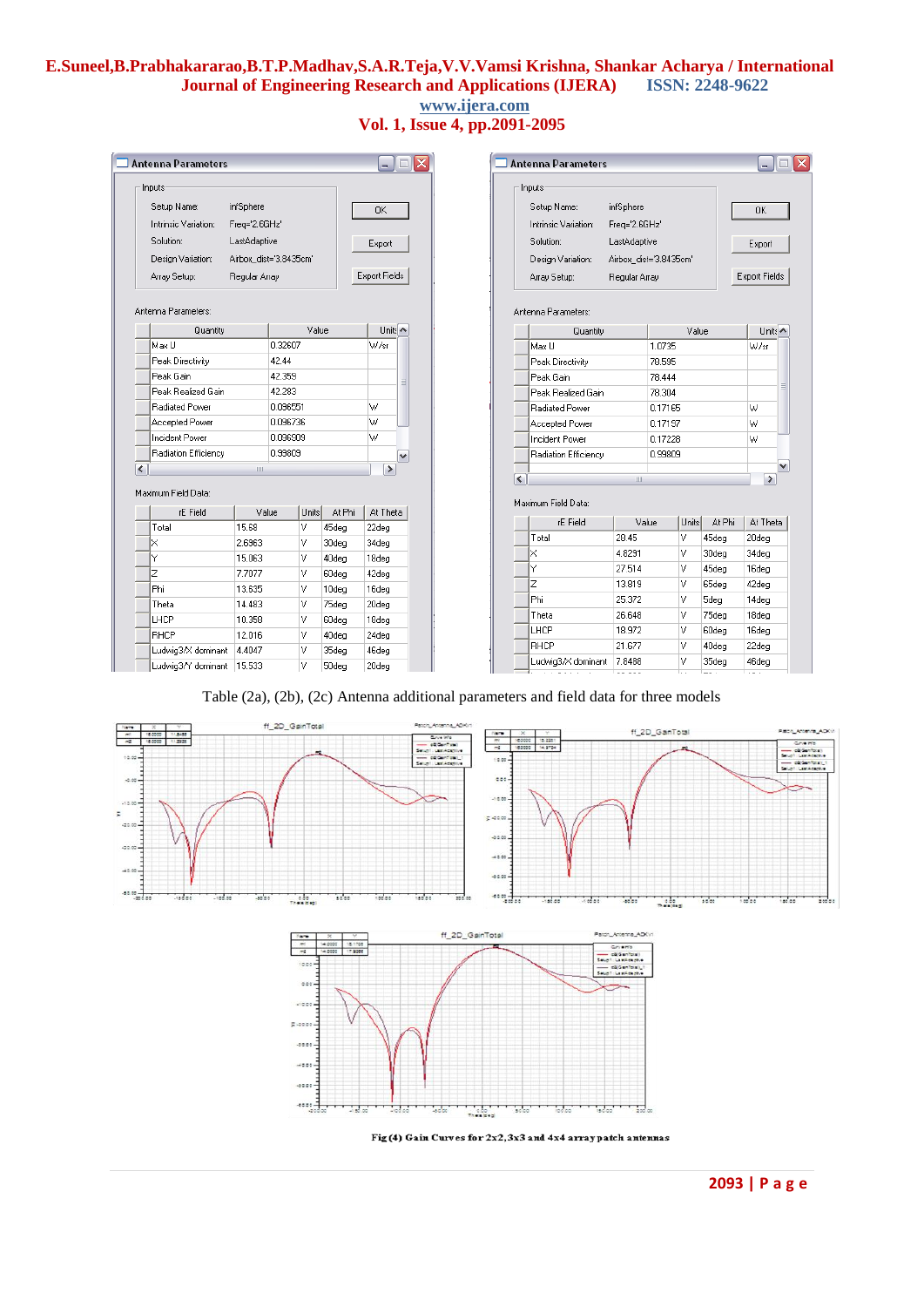# **E.Suneel,B.Prabhakararao,B.T.P.Madhav,S.A.R.Teja,V.V.Vamsi Krishna, Shankar Acharya / International Journal of Engineering Research and Applications (IJERA) www.ijera.com**

**Vol. 1, Issue 4, pp.2091-2095**

| <b>Antenna Parameters</b>     |                        |                      | o<br>÷.                       | <b>Antenna Parameters</b> |                                             |                      | $-1$           |                         |  |
|-------------------------------|------------------------|----------------------|-------------------------------|---------------------------|---------------------------------------------|----------------------|----------------|-------------------------|--|
| Inputs<br>Setup Name:         | infSphere              |                      |                               | 0K                        | Inputs<br>Setup Name:<br>infSphere          |                      |                | 0K                      |  |
| Intrinsic Variation:          | Freg='2.6GHz'          |                      |                               |                           | Freg='2.6GHz'<br>Intrinsic Variation:       |                      |                |                         |  |
| Solution:<br>LastAdaptive     |                        | Export               | Solution:<br>LastAdaptive     |                           |                                             | Export               |                |                         |  |
| Design Variation:             | Airbox_dist='3.8435cm' |                      |                               |                           | Design Variation:<br>Airbox_dist='3.8435cm' |                      |                |                         |  |
| Array Setup:<br>Regular Array |                        | <b>Export Fields</b> | Array Setup:<br>Regular Array |                           |                                             | <b>Export Fields</b> |                |                         |  |
| Antenna Parameters:           |                        |                      |                               |                           | Antenna Parameters:                         |                      |                |                         |  |
| Quantity                      |                        | Value                |                               | Units <                   | Quantity                                    | Value                |                | Units A                 |  |
| Max U                         |                        | 0.32607              |                               | W/sr                      | Max U                                       | 1.0735               |                | W/sr                    |  |
| Peak Directivity              | 42.44                  |                      |                               |                           | Peak Directivity                            | 78.595               |                |                         |  |
| Peak Gain                     |                        | 42.359               |                               | $\equiv$                  | Peak Gain                                   | 78.444               |                |                         |  |
| Peak Realized Gain            |                        | 42.283               |                               |                           | Peak Realized Gain                          | 78.304               |                |                         |  |
| <b>Radiated Power</b>         |                        | 0.096551             |                               | W                         | <b>Radiated Power</b>                       | 0.17165              |                | W                       |  |
| Accepted Power                |                        | 0.096736             |                               | W                         | Accepted Power                              | 0.17197              |                | W                       |  |
| Incident Power                | 0.096909               |                      | W                             | <b>Incident Power</b>     | 0.17228                                     |                      | W              |                         |  |
| Radiation Efficiency          |                        | 0.99809              |                               | $\checkmark$              | Radiation Efficiency                        | 0.99809              |                |                         |  |
|                               | $\,$ IIII              |                      |                               | $\rightarrow$             |                                             |                      |                |                         |  |
| Maximum Field Data:           |                        |                      |                               |                           | $\overline{\mathbf{K}}$<br>$\mathbf{III}$   |                      |                | $\rightarrow$           |  |
| rE Field                      | Value                  | Units                | At Phi                        | At Theta                  | Maximum Field Data:<br>rE Field<br>Value    | <b>Units</b>         | At Phi         | At Theta                |  |
| Total                         | 15.68                  | v                    | 45deg                         | 22deg                     | 28.45<br>Total                              | IV.                  | 45dea          | 20deg                   |  |
| ×                             | 2.6963                 | ٧                    | 30deg                         | 34deg                     | X<br>4.8291                                 | V                    | 30deg          | 34deg                   |  |
| Υ                             | 15,063                 | ٧                    | 40deg                         | 18deg                     | Ÿ<br>27.514                                 | M                    | 45deg          | 16deg                   |  |
| Z                             | 7.7077                 | ٧                    | 60deg                         | 42deg                     | Z<br>13.819                                 | ΙV                   | 65deg          | 42deg                   |  |
| Phi                           | 13.635                 | ٧                    | 10deg                         | 16deg                     | Phi<br>25.372                               | V                    | 5deg           | 14deg                   |  |
| Theta                         | 14.483                 | v                    | 75deg                         | 20deg                     | 26.648                                      | V                    | 75deg          |                         |  |
| LHCP                          | 10.358                 | ٧                    | 60deg                         | 18deg                     | Theta                                       | V                    |                | 18deg                   |  |
| <b>BHCP</b>                   | 12.016                 | v                    | 40deg                         | 24deg                     | LHCP<br>18.972<br>RHCP<br>21.677            |                      | 60deg          | 16deg                   |  |
| Ludwig3/X dominant            | 4.4047                 | ٧                    | 35deg                         | 46deg                     |                                             | IV<br>V              | 40deg          | 22deg                   |  |
| Ludwig3/Y dominant   15.533   |                        | v                    | 50deg                         | 20deg                     | 7.8488<br>Ludwig3/X dominant<br>$- - - - -$ | ь.                   | 35deg<br>$- -$ | 46deg<br>$\sim$ $ \sim$ |  |

Table (2a), (2b), (2c) Antenna additional parameters and field data for three models





Fig (4) Gain Curves for  $2x2,3x3$  and  $4x4$  array patch antennas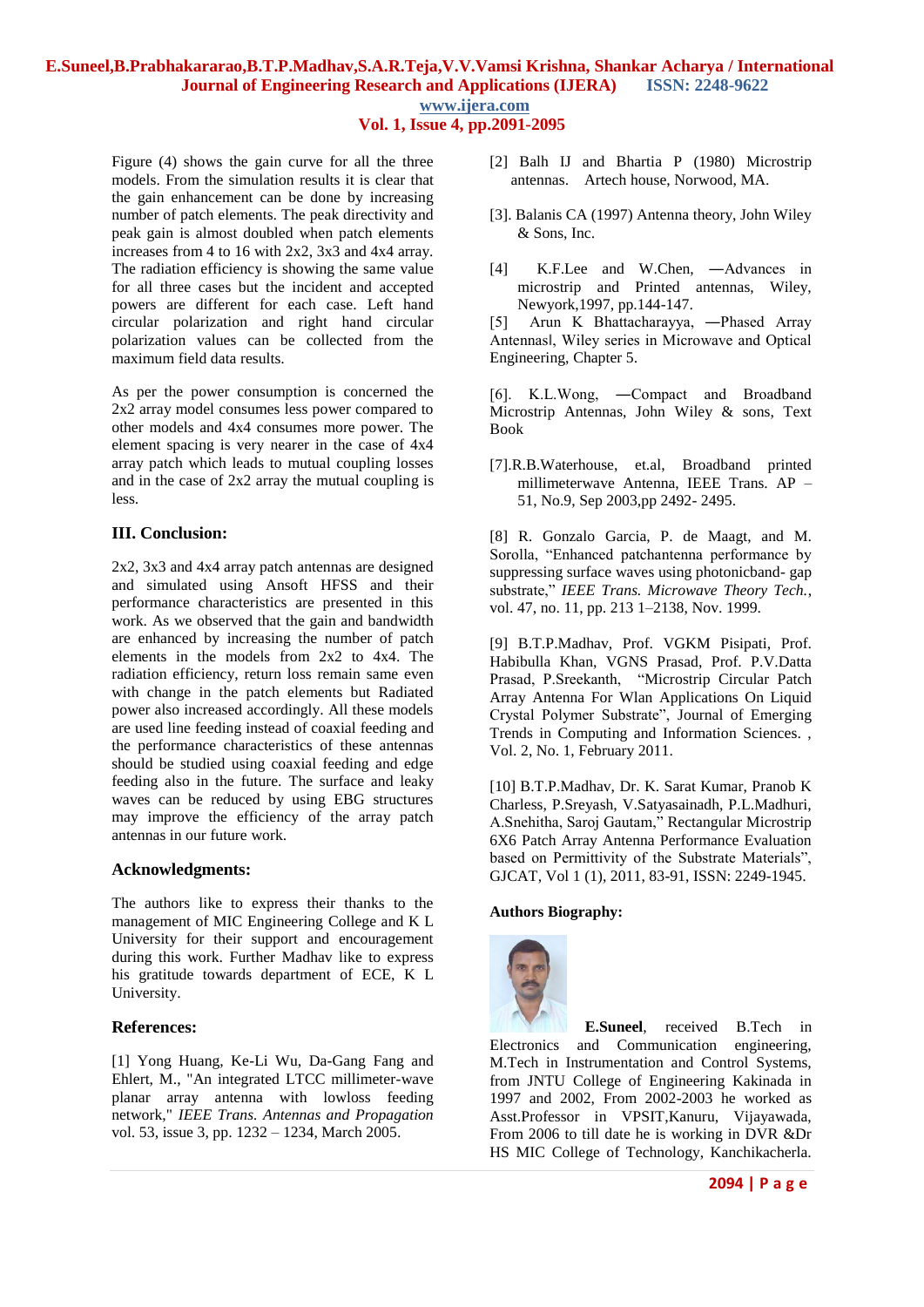# **E.Suneel,B.Prabhakararao,B.T.P.Madhav,S.A.R.Teja,V.V.Vamsi Krishna, Shankar Acharya / International Journal of Engineering Research and Applications (IJERA) ISSN: 2248-9622 www.ijera.com**

**Vol. 1, Issue 4, pp.2091-2095**

Figure (4) shows the gain curve for all the three models. From the simulation results it is clear that the gain enhancement can be done by increasing number of patch elements. The peak directivity and peak gain is almost doubled when patch elements increases from 4 to 16 with 2x2, 3x3 and 4x4 array. The radiation efficiency is showing the same value for all three cases but the incident and accepted powers are different for each case. Left hand circular polarization and right hand circular polarization values can be collected from the maximum field data results.

As per the power consumption is concerned the 2x2 array model consumes less power compared to other models and 4x4 consumes more power. The element spacing is very nearer in the case of 4x4 array patch which leads to mutual coupling losses and in the case of 2x2 array the mutual coupling is less.

# **III. Conclusion:**

2x2, 3x3 and 4x4 array patch antennas are designed and simulated using Ansoft HFSS and their performance characteristics are presented in this work. As we observed that the gain and bandwidth are enhanced by increasing the number of patch elements in the models from 2x2 to 4x4. The radiation efficiency, return loss remain same even with change in the patch elements but Radiated power also increased accordingly. All these models are used line feeding instead of coaxial feeding and the performance characteristics of these antennas should be studied using coaxial feeding and edge feeding also in the future. The surface and leaky waves can be reduced by using EBG structures may improve the efficiency of the array patch antennas in our future work.

### **Acknowledgments:**

The authors like to express their thanks to the management of MIC Engineering College and K L University for their support and encouragement during this work. Further Madhav like to express his gratitude towards department of ECE, K L University.

### **References:**

[1] Yong Huang, Ke-Li Wu, Da-Gang Fang and Ehlert, M., "An integrated LTCC millimeter-wave planar array antenna with lowloss feeding network," *IEEE Trans. Antennas and Propagation*  vol. 53, issue 3, pp. 1232 – 1234, March 2005.

- [2] Balh IJ and Bhartia P (1980) Microstrip antennas. Artech house, Norwood, MA.
- [3]. Balanis CA (1997) Antenna theory, John Wiley & Sons, Inc.
- [4] K.F.Lee and W.Chen, ―Advances in microstrip and Printed antennas, Wiley, Newyork,1997, pp.144-147.

[5] Arun K Bhattacharayya, ―Phased Array Antennas‖, Wiley series in Microwave and Optical Engineering, Chapter 5.

[6]. K.L.Wong, ―Compact and Broadband Microstrip Antennas, John Wiley & sons, Text Book

[7].R.B.Waterhouse, et.al, Broadband printed millimeterwave Antenna, IEEE Trans. AP – 51, No.9, Sep 2003,pp 2492- 2495.

[8] R. Gonzalo Garcia, P. de Maagt, and M. Sorolla, "Enhanced patchantenna performance by suppressing surface waves using photonicband- gap substrate," *IEEE Trans. Microwave Theory Tech.*, vol. 47, no. 11, pp. 213 1–2138, Nov. 1999.

[9] B.T.P.Madhav, Prof. VGKM Pisipati, Prof. Habibulla Khan, VGNS Prasad, Prof. P.V.Datta Prasad, P.Sreekanth, "Microstrip Circular Patch Array Antenna For Wlan Applications On Liquid Crystal Polymer Substrate", Journal of Emerging Trends in Computing and Information Sciences. , Vol. 2, No. 1, February 2011.

[10] B.T.P.Madhav, Dr. K. Sarat Kumar, Pranob K Charless, P.Sreyash, V.Satyasainadh, P.L.Madhuri, A.Snehitha, Saroj Gautam," Rectangular Microstrip 6X6 Patch Array Antenna Performance Evaluation based on Permittivity of the Substrate Materials", GJCAT, Vol 1 (1), 2011, 83-91, ISSN: 2249-1945.

### **Authors Biography:**



**E.Suneel**, received B.Tech in Electronics and Communication engineering, M.Tech in Instrumentation and Control Systems, from JNTU College of Engineering Kakinada in 1997 and 2002, From 2002-2003 he worked as Asst.Professor in VPSIT,Kanuru, Vijayawada, From 2006 to till date he is working in DVR &Dr HS MIC College of Technology, Kanchikacherla.